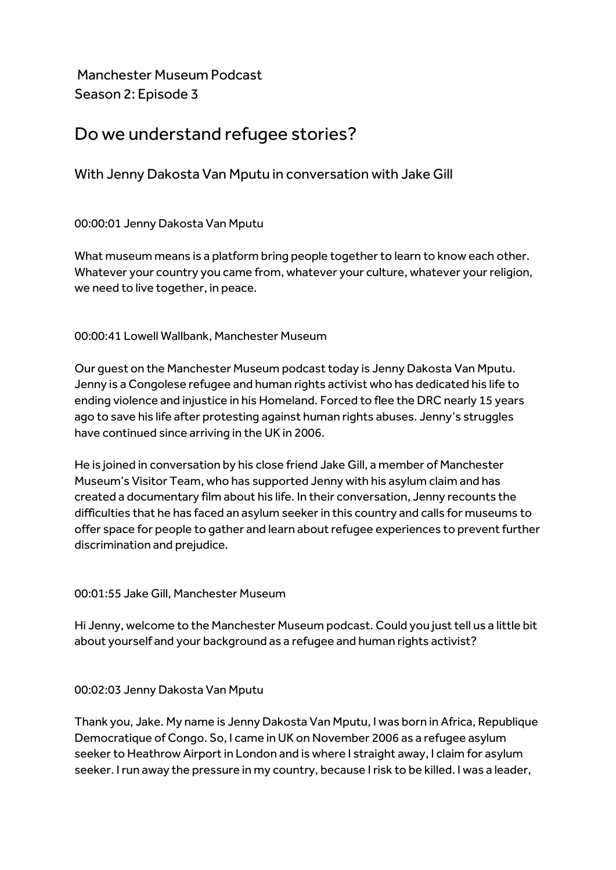Manchester Museum Podcast Season 2: Episode 3

# Do we understand refugee stories?

With Jenny Dakosta Van Mputu in conversation with Jake Gill

00:00:01 Jenny Dakosta Van Mputu

What museum means is a platform bring people together to learn to know each other. Whatever your country you came from, whatever your culture, whatever your religion, we need to live together, in peace.

00:00:41 Lowell Wallbank, Manchester Museum

Our guest on the Manchester Museum podcast today is Jenny Dakosta Van Mputu. Jenny is a Congolese refugee and human rights activist who has dedicated his life to ending violence and injustice in his Homeland. Forced to flee the DRC nearly 15 years ago to save his life after protesting against human rights abuses. Jenny's struggles have continued since arriving in the UK in 2006.

He is joined in conversation by his close friend Jake Gill, a member of Manchester Museum's Visitor Team, who has supported Jenny with his asylum claim and has created a documentary film about his life. In their conversation, Jenny recounts the difficulties that he has faced an asylum seeker in this country and calls for museums to offer space for people to gather and learn about refugee experiences to prevent further discrimination and prejudice.

00:01:55 Jake Gill, Manchester Museum

Hi Jenny, welcome to the Manchester Museum podcast. Could you just tell us a little bit about yourself and your background as a refugee and human rights activist?

00:02:03 Jenny Dakosta Van Mputu

Thank you, Jake. My name is Jenny Dakosta Van Mputu, I was born in Africa, Republique Democratique of Congo. So, I came in UK on November 2006 as a refugee asylum seeker to Heathrow Airport in London and is where I straight away, I claim for asylum seeker. I run away the pressure in my country, because I risk to be killed. I was a leader,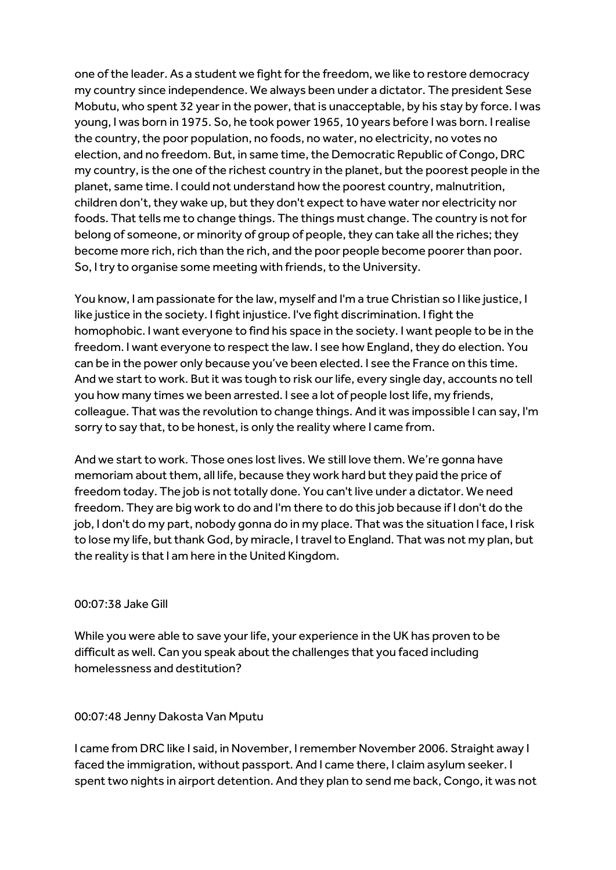one of the leader. As a student we fight for the freedom, we like to restore democracy my country since independence. We always been under a dictator. The president Sese Mobutu, who spent 32 year in the power, that is unacceptable, by his stay by force. I was young, I was born in 1975. So, he took power 1965, 10 years before I was born. I realise the country, the poor population, no foods, no water, no electricity, no votes no election, and no freedom. But, in same time, the Democratic Republic of Congo, DRC my country, is the one of the richest country in the planet, but the poorest people in the planet, same time. I could not understand how the poorest country, malnutrition, children don't, they wake up, but they don't expect to have water nor electricity nor foods. That tells me to change things. The things must change. The country is not for belong of someone, or minority of group of people, they can take all the riches; they become more rich, rich than the rich, and the poor people become poorer than poor. So, I try to organise some meeting with friends, to the University.

You know, I am passionate for the law, myself and I'm a true Christian so I like justice, I like justice in the society. I fight injustice. I've fight discrimination. I fight the homophobic. I want everyone to find his space in the society. I want people to be in the freedom. I want everyone to respect the law. I see how England, they do election. You can be in the power only because you've been elected. I see the France on this time. And we start to work. But it was tough to risk our life, every single day, accounts no tell you how many times we been arrested. I see a lot of people lost life, my friends, colleague. That was the revolution to change things. And it was impossible I can say, I'm sorry to say that, to be honest, is only the reality where I came from.

And we start to work. Those ones lost lives. We still love them. We're gonna have memoriam about them, all life, because they work hard but they paid the price of freedom today. The job is not totally done. You can't live under a dictator. We need freedom. They are big work to do and I'm there to do this job because if I don't do the job, I don't do my part, nobody gonna do in my place. That was the situation I face, I risk to lose my life, but thank God, by miracle, I travel to England. That was not my plan, but the reality is that I am here in the United Kingdom.

#### 00:07:38 Jake Gill

While you were able to save your life, your experience in the UK has proven to be difficult as well. Can you speak about the challenges that you faced including homelessness and destitution?

#### 00:07:48 Jenny Dakosta Van Mputu

I came from DRC like I said, in November, I remember November 2006. Straight away I faced the immigration, without passport. And I came there, I claim asylum seeker. I spent two nights in airport detention. And they plan to send me back, Congo, it was not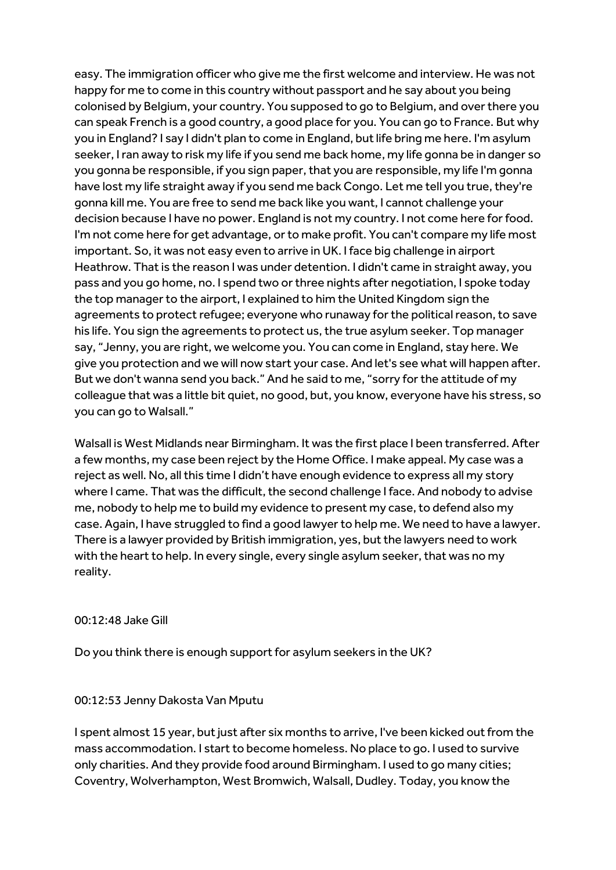easy. The immigration officer who give me the first welcome and interview. He was not happy for me to come in this country without passport and he say about you being colonised by Belgium, your country. You supposed to go to Belgium, and over there you can speak French is a good country, a good place for you. You can go to France. But why you in England? I say I didn't plan to come in England, but life bring me here. I'm asylum seeker, I ran away to risk my life if you send me back home, my life gonna be in danger so you gonna be responsible, if you sign paper, that you are responsible, my life I'm gonna have lost my life straight away if you send me back Congo. Let me tell you true, they're gonna kill me. You are free to send me back like you want, I cannot challenge your decision because I have no power. England is not my country. I not come here for food. I'm not come here for get advantage, or to make profit. You can't compare my life most important. So, it was not easy even to arrive in UK. I face big challenge in airport Heathrow. That is the reason I was under detention. I didn't came in straight away, you pass and you go home, no. I spend two or three nights after negotiation, I spoke today the top manager to the airport, I explained to him the United Kingdom sign the agreements to protect refugee; everyone who runaway for the political reason, to save his life. You sign the agreements to protect us, the true asylum seeker. Top manager say, "Jenny, you are right, we welcome you. You can come in England, stay here. We give you protection and we will now start your case. And let's see what will happen after. But we don't wanna send you back." And he said to me, "sorry for the attitude of my colleague that was a little bit quiet, no good, but, you know, everyone have his stress, so you can go to Walsall."

Walsall is West Midlands near Birmingham. It was the first place I been transferred. After a few months, my case been reject by the Home Office. I make appeal. My case was a reject as well. No, all this time I didn't have enough evidence to express all my story where I came. That was the difficult, the second challenge I face. And nobody to advise me, nobody to help me to build my evidence to present my case, to defend also my case. Again, I have struggled to find a good lawyer to help me. We need to have a lawyer. There is a lawyer provided by British immigration, yes, but the lawyers need to work with the heart to help. In every single, every single asylum seeker, that was no my reality.

#### 00:12:48 Jake Gill

Do you think there is enough support for asylum seekers in the UK?

#### 00:12:53 Jenny Dakosta Van Mputu

I spent almost 15 year, but just after six months to arrive, I've been kicked out from the mass accommodation. I start to become homeless. No place to go. I used to survive only charities. And they provide food around Birmingham. I used to go many cities; Coventry, Wolverhampton, West Bromwich, Walsall, Dudley. Today, you know the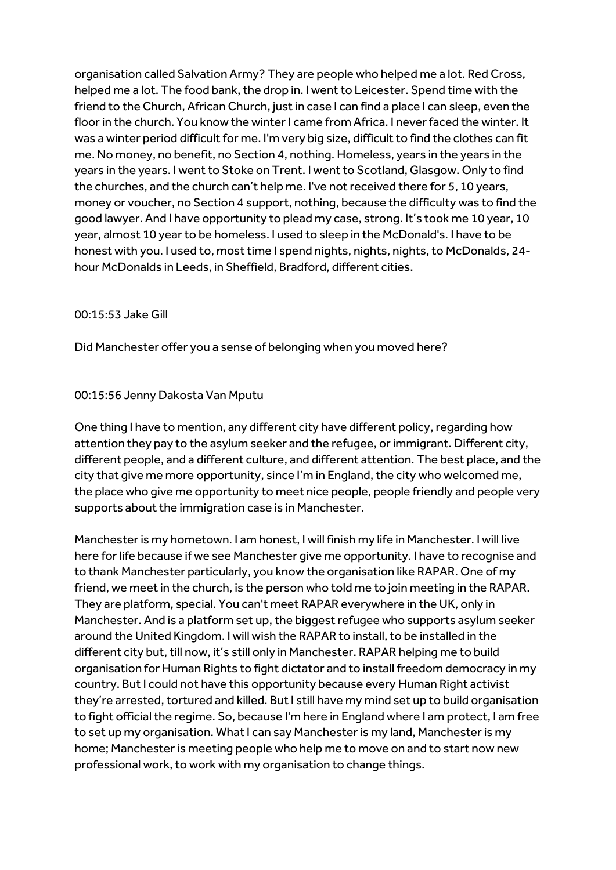organisation called Salvation Army? They are people who helped me a lot. Red Cross, helped me a lot. The food bank, the drop in. I went to Leicester. Spend time with the friend to the Church, African Church, just in case I can find a place I can sleep, even the floor in the church. You know the winter I came from Africa. I never faced the winter. It was a winter period difficult for me. I'm very big size, difficult to find the clothes can fit me. No money, no benefit, no Section 4, nothing. Homeless, years in the years in the years in the years. I went to Stoke on Trent. I went to Scotland, Glasgow. Only to find the churches, and the church can't help me. I've not received there for 5, 10 years, money or voucher, no Section 4 support, nothing, because the difficulty was to find the good lawyer. And I have opportunity to plead my case, strong. It's took me 10 year, 10 year, almost 10 year to be homeless. I used to sleep in the McDonald's. I have to be honest with you. I used to, most time I spend nights, nights, nights, to McDonalds, 24 hour McDonalds in Leeds, in Sheffield, Bradford, different cities.

#### 00:15:53 Jake Gill

Did Manchester offer you a sense of belonging when you moved here?

#### 00:15:56 Jenny Dakosta Van Mputu

One thing I have to mention, any different city have different policy, regarding how attention they pay to the asylum seeker and the refugee, or immigrant. Different city, different people, and a different culture, and different attention. The best place, and the city that give me more opportunity, since I'm in England, the city who welcomed me, the place who give me opportunity to meet nice people, people friendly and people very supports about the immigration case is in Manchester.

Manchester is my hometown. I am honest, I will finish my life in Manchester. I will live here for life because if we see Manchester give me opportunity. I have to recognise and to thank Manchester particularly, you know the organisation like RAPAR. One of my friend, we meet in the church, is the person who told me to join meeting in the RAPAR. They are platform, special. You can't meet RAPAR everywhere in the UK, only in Manchester. And is a platform set up, the biggest refugee who supports asylum seeker around the United Kingdom. I will wish the RAPAR to install, to be installed in the different city but, till now, it's still only in Manchester. RAPAR helping me to build organisation for Human Rights to fight dictator and to install freedom democracy in my country. But I could not have this opportunity because every Human Right activist they're arrested, tortured and killed. But I still have my mind set up to build organisation to fight official the regime. So, because I'm here in England where I am protect, I am free to set up my organisation. What I can say Manchester is my land, Manchester is my home; Manchester is meeting people who help me to move on and to start now new professional work, to work with my organisation to change things.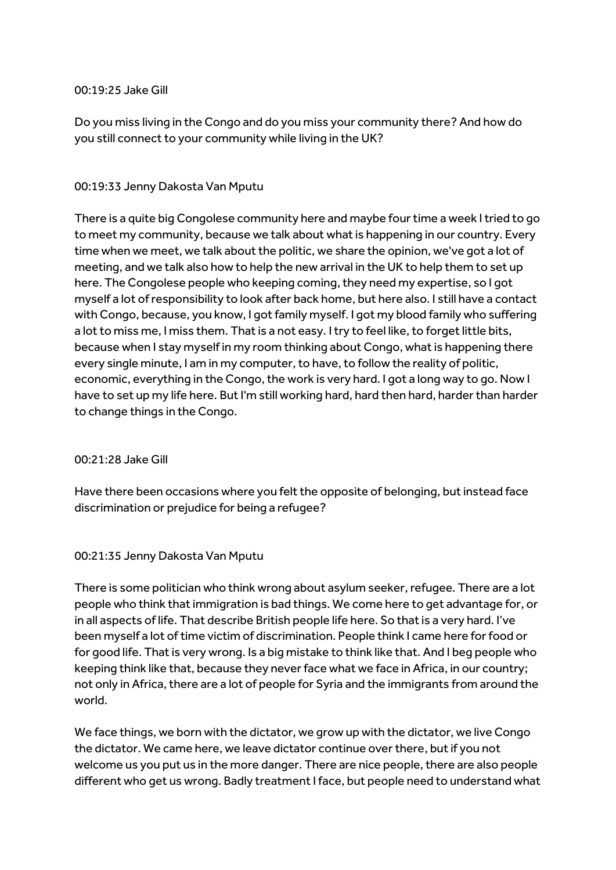#### 00:19:25 Jake Gill

Do you miss living in the Congo and do you miss your community there? And how do you still connect to your community while living in the UK?

### 00:19:33 Jenny Dakosta Van Mputu

There is a quite big Congolese community here and maybe four time a week I tried to go to meet my community, because we talk about what is happening in our country. Every time when we meet, we talk about the politic, we share the opinion, we've got a lot of meeting, and we talk also how to help the new arrival in the UK to help them to set up here. The Congolese people who keeping coming, they need my expertise, so I got myself a lot of responsibility to look after back home, but here also. I still have a contact with Congo, because, you know, I got family myself. I got my blood family who suffering a lot to miss me, I miss them. That is a not easy. I try to feel like, to forget little bits, because when I stay myself in my room thinking about Congo, what is happening there every single minute, I am in my computer, to have, to follow the reality of politic, economic, everything in the Congo, the work is very hard. I got a long way to go. Now I have to set up my life here. But I'm still working hard, hard then hard, harder than harder to change things in the Congo.

#### 00:21:28 Jake Gill

Have there been occasions where you felt the opposite of belonging, but instead face discrimination or prejudice for being a refugee?

#### 00:21:35 Jenny Dakosta Van Mputu

There is some politician who think wrong about asylum seeker, refugee. There are a lot people who think thatimmigration is bad things. We come here to get advantage for, or in all aspects of life. That describe British people life here. So that is a very hard. I've been myself a lot of time victim of discrimination. People think I came here for food or for good life. That is very wrong. Is a big mistake to think like that. And I beg people who keeping think like that, because they never face what we face in Africa, in our country; not only in Africa, there are a lot of people for Syria and the immigrants from around the world.

We face things, we born with the dictator, we grow up with the dictator, we live Congo the dictator. We came here, we leave dictator continue over there, but if you not welcome us you put us in the more danger. There are nice people, there are also people different who get us wrong. Badly treatment I face, but people need to understand what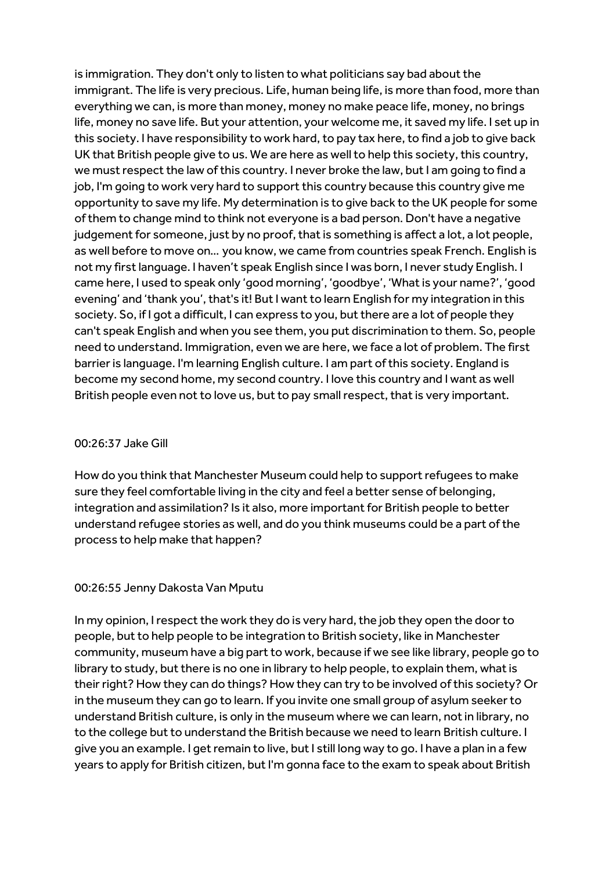is immigration. They don't only to listen to what politicians say bad about the immigrant. The life is very precious. Life, human being life, is more than food, more than everything we can, is more than money, money no make peace life, money, no brings life, money no save life. But your attention, your welcome me, it saved my life. I set up in this society. I have responsibility to work hard, to pay tax here, to find a job to give back UK that British people give to us. We are here as well to help this society, this country, we must respect the law of this country. I never broke the law, but I am going to find a job, I'm going to work very hard to support this country because this country give me opportunity to save my life. My determination is to give back to the UK people for some of them to change mind to think not everyone is a bad person. Don't have a negative judgement for someone, just by no proof, that is something is affect a lot, a lot people, as well before to move on… you know, we came from countries speak French. English is not my first language. I haven't speak English since I was born, I never study English. I came here, I used to speak only 'good morning', 'goodbye', 'What is your name?', 'good evening' and 'thank you', that's it! But I want to learn English for my integration in this society. So, if I got a difficult, I can express to you, but there are a lot of people they can't speak English and when you see them, you put discrimination to them. So, people need to understand. Immigration, even we are here, we face a lot of problem. The first barrier is language. I'm learning English culture. I am part of this society. England is become my second home, my second country. I love this country and I want as well British people even not to love us, but to pay small respect, that is very important.

#### 00:26:37 Jake Gill

How do you think that Manchester Museum could help to support refugees to make sure they feel comfortable living in the city and feel a better sense of belonging, integration and assimilation? Is it also, more important for British people to better understand refugee stories as well, and do you think museums could be a part of the process to help make that happen?

## 00:26:55 Jenny Dakosta Van Mputu

In my opinion, I respect the work they do is very hard, the job they open the door to people, but to help people to be integration to British society, like in Manchester community, museum have a big part to work, because if we see like library, people go to library to study, but there is no one in library to help people, to explain them, what is their right? How they can do things? How they can try to be involved of this society? Or in the museum they can go to learn. If you invite one small group of asylum seeker to understand British culture, is only in the museum where we can learn, not in library, no to the college but to understand the British because we need to learn British culture. I give you an example. I get remain to live, but I still long way to go. I have a plan in a few years to apply for British citizen, but I'm gonna face to the exam to speak about British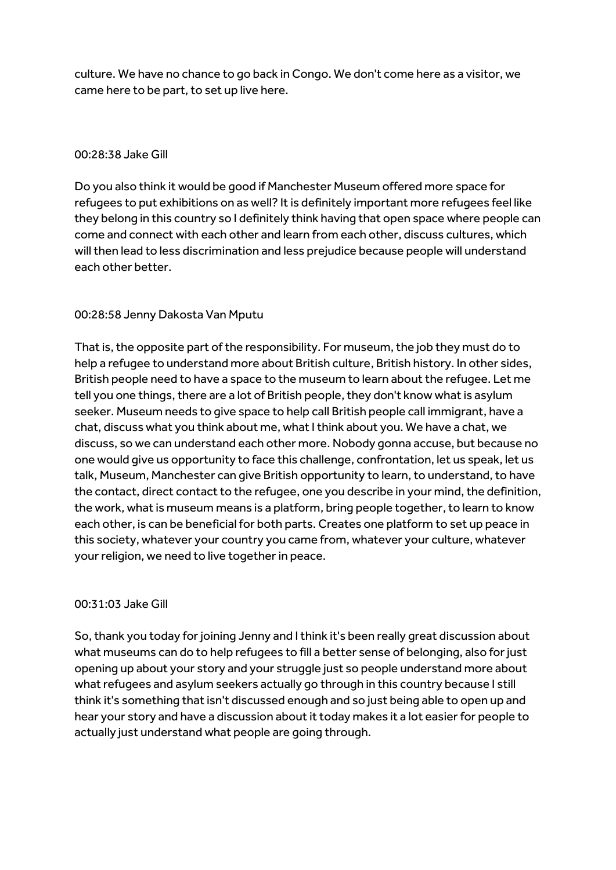culture. We have no chance to go back in Congo. We don't come here as a visitor, we came here to be part, to set up live here.

## 00:28:38 Jake Gill

Do you also think it would be good if Manchester Museum offered more space for refugees to put exhibitions on as well? It is definitely important more refugees feel like they belong in this country so I definitely think having that open space where people can come and connect with each other and learn from each other, discuss cultures, which will then lead to less discrimination and less prejudice because people will understand each other better.

## 00:28:58 Jenny Dakosta Van Mputu

That is, the opposite part of the responsibility. For museum, the job they must do to help a refugee to understand more about British culture, British history. In other sides, British people need to have a space to the museum to learn about the refugee. Let me tell you one things, there are a lot of British people, they don't know what is asylum seeker. Museum needs to give space to help call British people call immigrant, have a chat, discuss what you think about me, what I think about you. We have a chat, we discuss, so we can understand each other more. Nobody gonna accuse, but because no one would give us opportunity to face this challenge, confrontation, let us speak, let us talk, Museum, Manchester can give British opportunity to learn, to understand, to have the contact, direct contact to the refugee, one you describe in your mind, the definition, the work, what is museum means is a platform, bring people together, to learn to know each other, is can be beneficial for both parts. Creates one platform to set up peace in this society, whatever your country you came from, whatever your culture, whatever your religion, we need to live together in peace.

## 00:31:03 Jake Gill

So,thank you today for joining Jenny and I think it's been really great discussion about what museums can do to help refugees to fill a better sense of belonging, also for just opening up about your story and your struggle just so people understand more about what refugees and asylum seekers actually go through in this country because I still think it's something that isn't discussed enough and so just being able to open up and hear your story and have a discussion about it today makes it a lot easier for people to actually just understand what people are going through.